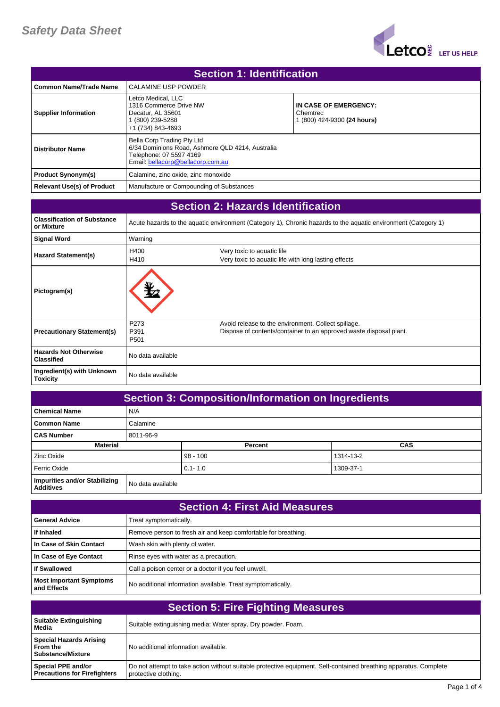

| <b>Section 1: Identification</b> |                                                                                                                                                |                                                                  |  |
|----------------------------------|------------------------------------------------------------------------------------------------------------------------------------------------|------------------------------------------------------------------|--|
| l Common Name/Trade Name         | <b>CALAMINE USP POWDER</b>                                                                                                                     |                                                                  |  |
| <b>Supplier Information</b>      | Letco Medical, LLC<br>1316 Commerce Drive NW<br>Decatur, AL 35601<br>(800) 239-5288<br>+1 (734) 843-4693                                       | IN CASE OF EMERGENCY:<br>Chemtrec<br>1 (800) 424-9300 (24 hours) |  |
| <b>Distributor Name</b>          | Bella Corp Trading Pty Ltd<br>6/34 Dominions Road, Ashmore QLD 4214, Australia<br>Telephone: 07 5597 4169<br>Email: bellacorp@bellacorp.com.au |                                                                  |  |
| <b>Product Synonym(s)</b>        | Calamine, zinc oxide, zinc monoxide                                                                                                            |                                                                  |  |
| Relevant Use(s) of Product       | Manufacture or Compounding of Substances                                                                                                       |                                                                  |  |

| <b>Section 2: Hazards Identification</b>          |                                                                                                                |                                                                                                                           |
|---------------------------------------------------|----------------------------------------------------------------------------------------------------------------|---------------------------------------------------------------------------------------------------------------------------|
| <b>Classification of Substance</b><br>or Mixture  | Acute hazards to the aquatic environment (Category 1), Chronic hazards to the aquatic environment (Category 1) |                                                                                                                           |
| <b>Signal Word</b>                                | Warning                                                                                                        |                                                                                                                           |
| <b>Hazard Statement(s)</b>                        | H400<br>H410                                                                                                   | Very toxic to aquatic life<br>Very toxic to aquatic life with long lasting effects                                        |
| Pictogram(s)                                      |                                                                                                                |                                                                                                                           |
| <b>Precautionary Statement(s)</b>                 | P273<br>P391<br>P <sub>501</sub>                                                                               | Avoid release to the environment. Collect spillage.<br>Dispose of contents/container to an approved waste disposal plant. |
| <b>Hazards Not Otherwise</b><br><b>Classified</b> | No data available                                                                                              |                                                                                                                           |
| Ingredient(s) with Unknown<br>Toxicity            | No data available                                                                                              |                                                                                                                           |

| <b>Section 3: Composition/Information on Ingredients</b> |                   |             |           |            |
|----------------------------------------------------------|-------------------|-------------|-----------|------------|
| <b>Chemical Name</b>                                     | N/A               |             |           |            |
| <b>Common Name</b>                                       | Calamine          |             |           |            |
| <b>CAS Number</b>                                        | 8011-96-9         |             |           |            |
| <b>Material</b>                                          |                   | Percent     |           | <b>CAS</b> |
| Zinc Oxide                                               |                   | $98 - 100$  | 1314-13-2 |            |
| Ferric Oxide                                             |                   | $0.1 - 1.0$ | 1309-37-1 |            |
| Impurities and/or Stabilizing<br><b>Additives</b>        | No data available |             |           |            |

| <b>Section 4: First Aid Measures</b>          |                                                                |  |
|-----------------------------------------------|----------------------------------------------------------------|--|
| <b>General Advice</b>                         | Treat symptomatically.                                         |  |
| If Inhaled                                    | Remove person to fresh air and keep comfortable for breathing. |  |
| In Case of Skin Contact                       | Wash skin with plenty of water.                                |  |
| In Case of Eye Contact                        | Rinse eyes with water as a precaution.                         |  |
| <b>If Swallowed</b>                           | Call a poison center or a doctor if you feel unwell.           |  |
| <b>Most Important Symptoms</b><br>and Effects | No additional information available. Treat symptomatically.    |  |

| <b>Section 5: Fire Fighting Measures</b>                   |                                                                                                                                           |  |
|------------------------------------------------------------|-------------------------------------------------------------------------------------------------------------------------------------------|--|
| Suitable Extinguishing<br>Media                            | Suitable extinguishing media: Water spray. Dry powder. Foam.                                                                              |  |
| Special Hazards Arising<br>l From the<br>Substance/Mixture | No additional information available.                                                                                                      |  |
| Special PPE and/or<br><b>Precautions for Firefighters</b>  | Do not attempt to take action without suitable protective equipment. Self-contained breathing apparatus. Complete<br>protective clothing. |  |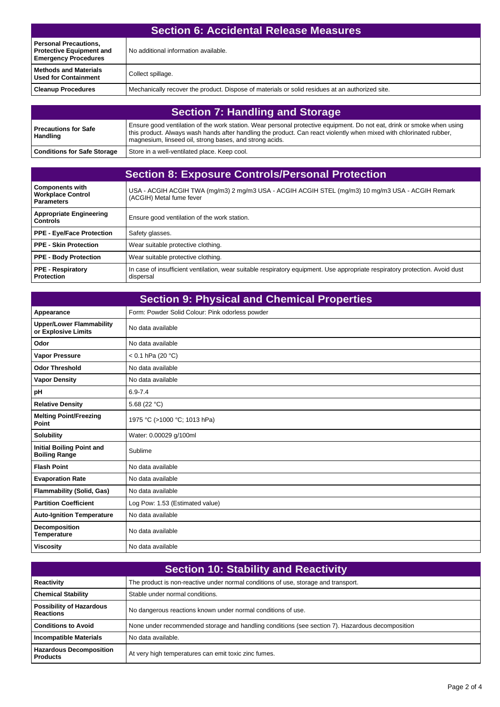| <b>Section 6: Accidental Release Measures</b>                                                  |                                                                                                 |  |
|------------------------------------------------------------------------------------------------|-------------------------------------------------------------------------------------------------|--|
| <b>Personal Precautions,</b><br><b>Protective Equipment and</b><br><b>Emergency Procedures</b> | No additional information available.                                                            |  |
| <b>Methods and Materials</b><br><b>Used for Containment</b>                                    | Collect spillage.                                                                               |  |
| <b>Cleanup Procedures</b>                                                                      | Mechanically recover the product. Dispose of materials or solid residues at an authorized site. |  |
|                                                                                                |                                                                                                 |  |

| <b>Section 7: Handling and Storage</b>  |                                                                                                                                                                                                                                                                                                          |  |
|-----------------------------------------|----------------------------------------------------------------------------------------------------------------------------------------------------------------------------------------------------------------------------------------------------------------------------------------------------------|--|
| Precautions for Safe<br><b>Handling</b> | Ensure good ventilation of the work station. Wear personal protective equipment. Do not eat, drink or smoke when using<br>this product. Always wash hands after handling the product. Can react violently when mixed with chlorinated rubber,<br>magnesium, linseed oil, strong bases, and strong acids. |  |
| <b>Conditions for Safe Storage</b>      | Store in a well-ventilated place. Keep cool.                                                                                                                                                                                                                                                             |  |

| <b>Section 8: Exposure Controls/Personal Protection</b>                 |                                                                                                                                           |  |
|-------------------------------------------------------------------------|-------------------------------------------------------------------------------------------------------------------------------------------|--|
| <b>Components with</b><br><b>Workplace Control</b><br><b>Parameters</b> | USA - ACGIH ACGIH TWA (mg/m3) 2 mg/m3 USA - ACGIH ACGIH STEL (mg/m3) 10 mg/m3 USA - ACGIH Remark<br>(ACGIH) Metal fume fever              |  |
| <b>Appropriate Engineering</b><br><b>Controls</b>                       | Ensure good ventilation of the work station.                                                                                              |  |
| <b>PPE - Eye/Face Protection</b>                                        | Safety glasses.                                                                                                                           |  |
| PPE - Skin Protection                                                   | Wear suitable protective clothing.                                                                                                        |  |
| <b>PPE - Body Protection</b>                                            | Wear suitable protective clothing.                                                                                                        |  |
| <b>PPE - Respiratory</b><br>Protection                                  | In case of insufficient ventilation, wear suitable respiratory equipment. Use appropriate respiratory protection. Avoid dust<br>dispersal |  |

| <b>Section 9: Physical and Chemical Properties</b>       |                                                 |  |
|----------------------------------------------------------|-------------------------------------------------|--|
| Appearance                                               | Form: Powder Solid Colour: Pink odorless powder |  |
| <b>Upper/Lower Flammability</b><br>or Explosive Limits   | No data available                               |  |
| Odor                                                     | No data available                               |  |
| <b>Vapor Pressure</b>                                    | $< 0.1$ hPa (20 °C)                             |  |
| <b>Odor Threshold</b>                                    | No data available                               |  |
| <b>Vapor Density</b>                                     | No data available                               |  |
| pH                                                       | $6.9 - 7.4$                                     |  |
| <b>Relative Density</b>                                  | 5.68 (22 $^{\circ}$ C)                          |  |
| <b>Melting Point/Freezing</b><br>Point                   | 1975 °C (>1000 °C; 1013 hPa)                    |  |
| <b>Solubility</b>                                        | Water: 0.00029 g/100ml                          |  |
| <b>Initial Boiling Point and</b><br><b>Boiling Range</b> | Sublime                                         |  |
| <b>Flash Point</b>                                       | No data available                               |  |
| <b>Evaporation Rate</b>                                  | No data available                               |  |
| <b>Flammability (Solid, Gas)</b>                         | No data available                               |  |
| <b>Partition Coefficient</b>                             | Log Pow: 1.53 (Estimated value)                 |  |
| <b>Auto-Ignition Temperature</b>                         | No data available                               |  |
| <b>Decomposition</b><br><b>Temperature</b>               | No data available                               |  |
| <b>Viscosity</b>                                         | No data available                               |  |

| <b>Section 10: Stability and Reactivity</b>         |                                                                                                 |  |
|-----------------------------------------------------|-------------------------------------------------------------------------------------------------|--|
| Reactivity                                          | The product is non-reactive under normal conditions of use, storage and transport.              |  |
| <b>Chemical Stability</b>                           | Stable under normal conditions.                                                                 |  |
| <b>Possibility of Hazardous</b><br><b>Reactions</b> | No dangerous reactions known under normal conditions of use.                                    |  |
| <b>Conditions to Avoid</b>                          | None under recommended storage and handling conditions (see section 7). Hazardous decomposition |  |
| <b>Incompatible Materials</b>                       | No data available.                                                                              |  |
| <b>Hazardous Decomposition</b><br><b>Products</b>   | At very high temperatures can emit toxic zinc fumes.                                            |  |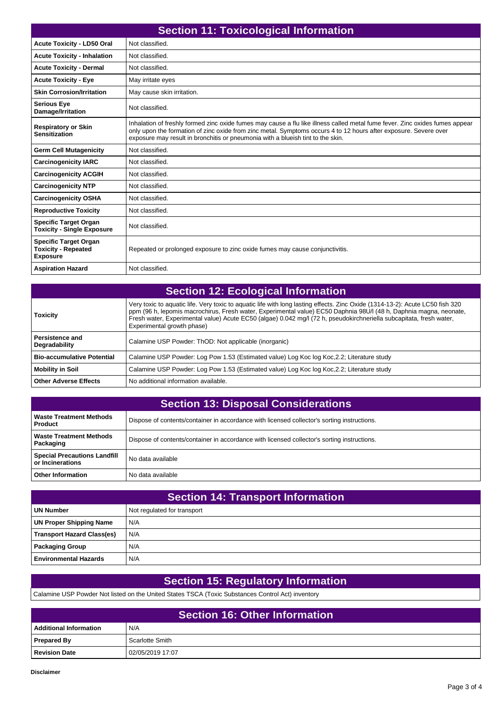| <b>Section 11: Toxicological Information</b>                                  |                                                                                                                                                                                                                                                                                                                                     |  |
|-------------------------------------------------------------------------------|-------------------------------------------------------------------------------------------------------------------------------------------------------------------------------------------------------------------------------------------------------------------------------------------------------------------------------------|--|
| <b>Acute Toxicity - LD50 Oral</b>                                             | Not classified.                                                                                                                                                                                                                                                                                                                     |  |
| <b>Acute Toxicity - Inhalation</b>                                            | Not classified.                                                                                                                                                                                                                                                                                                                     |  |
| <b>Acute Toxicity - Dermal</b>                                                | Not classified.                                                                                                                                                                                                                                                                                                                     |  |
| <b>Acute Toxicity - Eve</b>                                                   | May irritate eyes                                                                                                                                                                                                                                                                                                                   |  |
| <b>Skin Corrosion/Irritation</b>                                              | May cause skin irritation.                                                                                                                                                                                                                                                                                                          |  |
| <b>Serious Eye</b><br>Damage/Irritation                                       | Not classified.                                                                                                                                                                                                                                                                                                                     |  |
| <b>Respiratory or Skin</b><br><b>Sensitization</b>                            | Inhalation of freshly formed zinc oxide fumes may cause a flu like illness called metal fume fever. Zinc oxides fumes appear<br>only upon the formation of zinc oxide from zinc metal. Symptoms occurs 4 to 12 hours after exposure. Severe over<br>exposure may result in bronchitis or pneumonia with a blueish tint to the skin. |  |
| <b>Germ Cell Mutagenicity</b>                                                 | Not classified.                                                                                                                                                                                                                                                                                                                     |  |
| <b>Carcinogenicity IARC</b>                                                   | Not classified.                                                                                                                                                                                                                                                                                                                     |  |
| <b>Carcinogenicity ACGIH</b>                                                  | Not classified.                                                                                                                                                                                                                                                                                                                     |  |
| <b>Carcinogenicity NTP</b>                                                    | Not classified.                                                                                                                                                                                                                                                                                                                     |  |
| <b>Carcinogenicity OSHA</b>                                                   | Not classified.                                                                                                                                                                                                                                                                                                                     |  |
| <b>Reproductive Toxicity</b>                                                  | Not classified.                                                                                                                                                                                                                                                                                                                     |  |
| <b>Specific Target Organ</b><br><b>Toxicity - Single Exposure</b>             | Not classified.                                                                                                                                                                                                                                                                                                                     |  |
| <b>Specific Target Organ</b><br><b>Toxicity - Repeated</b><br><b>Exposure</b> | Repeated or prolonged exposure to zinc oxide fumes may cause conjunctivitis.                                                                                                                                                                                                                                                        |  |
| <b>Aspiration Hazard</b>                                                      | Not classified.                                                                                                                                                                                                                                                                                                                     |  |

| <b>Section 12: Ecological Information</b> |                                                                                                                                                                                                                                                                                                                                                                                                          |  |
|-------------------------------------------|----------------------------------------------------------------------------------------------------------------------------------------------------------------------------------------------------------------------------------------------------------------------------------------------------------------------------------------------------------------------------------------------------------|--|
| <b>Toxicity</b>                           | Very toxic to aquatic life. Very toxic to aquatic life with long lasting effects. Zinc Oxide (1314-13-2): Acute LC50 fish 320<br>ppm (96 h, lepomis macrochirus, Fresh water, Experimental value) EC50 Daphnia 98U/l (48 h, Daphnia magna, neonate,<br>Fresh water, Experimental value) Acute EC50 (algae) 0.042 mg/l (72 h, pseudokirchneriella subcapitata, fresh water,<br>Experimental growth phase) |  |
| <b>Persistence and</b><br>Degradability   | Calamine USP Powder: ThOD: Not applicable (inorganic)                                                                                                                                                                                                                                                                                                                                                    |  |
| <b>Bio-accumulative Potential</b>         | Calamine USP Powder: Log Pow 1.53 (Estimated value) Log Koc log Koc, 2.2; Literature study                                                                                                                                                                                                                                                                                                               |  |
| <b>Mobility in Soil</b>                   | Calamine USP Powder: Log Pow 1.53 (Estimated value) Log Koc log Koc, 2.2; Literature study                                                                                                                                                                                                                                                                                                               |  |
| Other Adverse Effects                     | No additional information available.                                                                                                                                                                                                                                                                                                                                                                     |  |

| <b>Section 13: Disposal Considerations</b>              |                                                                                             |  |
|---------------------------------------------------------|---------------------------------------------------------------------------------------------|--|
| <b>Waste Treatment Methods</b><br>Product               | Dispose of contents/container in accordance with licensed collector's sorting instructions. |  |
| <b>Waste Treatment Methods</b><br>Packaging             | Dispose of contents/container in accordance with licensed collector's sorting instructions. |  |
| <b>Special Precautions Landfill</b><br>or Incinerations | No data available                                                                           |  |
| <b>Other Information</b>                                | No data available                                                                           |  |

| <b>Section 14: Transport Information</b> |                             |  |
|------------------------------------------|-----------------------------|--|
| UN Number                                | Not regulated for transport |  |
| UN Proper Shipping Name                  | N/A                         |  |
| <b>Transport Hazard Class(es)</b>        | N/A                         |  |
| Packaging Group                          | N/A                         |  |
| <b>Environmental Hazards</b>             | N/A                         |  |

## **Section 15: Regulatory Information**

Calamine USP Powder Not listed on the United States TSCA (Toxic Substances Control Act) inventory

| <b>Section 16: Other Information</b> |                  |  |
|--------------------------------------|------------------|--|
| <b>Additional Information</b>        | N/A              |  |
| <b>Prepared By</b>                   | Scarlotte Smith  |  |
| Revision Date                        | 02/05/2019 17:07 |  |